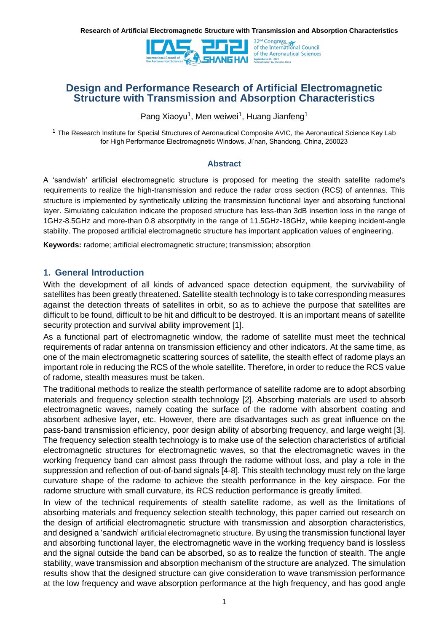

# **Design and Performance Research of Artificial Electromagnetic Structure with Transmission and Absorption Characteristics**

Pang Xiaoyu<sup>1</sup>, Men weiwei<sup>1</sup>, Huang Jianfeng<sup>1</sup>

<sup>1</sup> The Research Institute for Special Structures of Aeronautical Composite AVIC, the Aeronautical Science Key Lab for High Performance Electromagnetic Windows, Ji'nan, Shandong, China, 250023

#### **Abstract**

A 'sandwish' artificial electromagnetic structure is proposed for meeting the stealth satellite radome's requirements to realize the high-transmission and reduce the radar cross section (RCS) of antennas. This structure is implemented by synthetically utilizing the transmission functional layer and absorbing functional layer. Simulating calculation indicate the proposed structure has less-than 3dB insertion loss in the range of 1GHz-8.5GHz and more-than 0.8 absorptivity in the range of 11.5GHz-18GHz, while keeping incident-angle stability. The proposed artificial electromagnetic structure has important application values of engineering.

**Keywords:** radome; artificial electromagnetic structure; transmission; absorption

## **1. General Introduction**

With the development of all kinds of advanced space detection equipment, the survivability of satellites has been greatly threatened. Satellite stealth technology is to take corresponding measures against the detection threats of satellites in orbit, so as to achieve the purpose that satellites are difficult to be found, difficult to be hit and difficult to be destroyed. It is an important means of satellite security protection and survival ability improvement [1].

As a functional part of electromagnetic window, the radome of satellite must meet the technical requirements of radar antenna on transmission efficiency and other indicators. At the same time, as one of the main electromagnetic scattering sources of satellite, the stealth effect of radome plays an important role in reducing the RCS of the whole satellite. Therefore, in order to reduce the RCS value of radome, stealth measures must be taken.

The traditional methods to realize the stealth performance of satellite radome are to adopt absorbing materials and frequency selection stealth technology [2]. Absorbing materials are used to absorb electromagnetic waves, namely coating the surface of the radome with absorbent coating and absorbent adhesive layer, etc. However, there are disadvantages such as great influence on the pass-band transmission efficiency, poor design ability of absorbing frequency, and large weight [3]. The frequency selection stealth technology is to make use of the selection characteristics of artificial electromagnetic structures for electromagnetic waves, so that the electromagnetic waves in the working frequency band can almost pass through the radome without loss, and play a role in the suppression and reflection of out-of-band signals [4-8]. This stealth technology must rely on the large curvature shape of the radome to achieve the stealth performance in the key airspace. For the radome structure with small curvature, its RCS reduction performance is greatly limited.

In view of the technical requirements of stealth satellite radome, as well as the limitations of absorbing materials and frequency selection stealth technology, this paper carried out research on the design of artificial electromagnetic structure with transmission and absorption characteristics, and designed a 'sandwich' artificial electromagnetic structure. By using the transmission functional layer and absorbing functional layer, the electromagnetic wave in the working frequency band is lossless and the signal outside the band can be absorbed, so as to realize the function of stealth. The angle stability, wave transmission and absorption mechanism of the structure are analyzed. The simulation results show that the designed structure can give consideration to wave transmission performance at the low frequency and wave absorption performance at the high frequency, and has good angle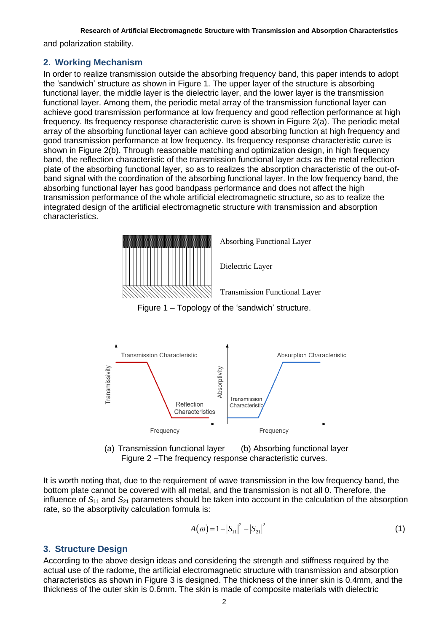and polarization stability.

### **2. Working Mechanism**

In order to realize transmission outside the absorbing frequency band, this paper intends to adopt the 'sandwich' structure as shown in Figure 1. The upper layer of the structure is absorbing functional layer, the middle layer is the dielectric layer, and the lower layer is the transmission functional layer. Among them, the periodic metal array of the transmission functional layer can achieve good transmission performance at low frequency and good reflection performance at high frequency. Its frequency response characteristic curve is shown in Figure 2(a). The periodic metal array of the absorbing functional layer can achieve good absorbing function at high frequency and good transmission performance at low frequency. Its frequency response characteristic curve is shown in Figure 2(b). Through reasonable matching and optimization design, in high frequency band, the reflection characteristic of the transmission functional layer acts as the metal reflection plate of the absorbing functional layer, so as to realizes the absorption characteristic of the out-ofband signal with the coordination of the absorbing functional layer. In the low frequency band, the absorbing functional layer has good bandpass performance and does not affect the high transmission performance of the whole artificial electromagnetic structure, so as to realize the integrated design of the artificial electromagnetic structure with transmission and absorption characteristics.



Absorbing Functional Layer<br>Dielectric Layer<br>Transmission Functional Layer





(a) Transmission functional layer (b) Absorbing functional layer Figure 2 –The frequency response characteristic curves.

It is worth noting that, due to the requirement of wave transmission in the low frequency band, the bottom plate cannot be covered with all metal, and the transmission is not all 0. Therefore, the influence of *S*<sup>11</sup> and *S*<sup>21</sup> parameters should be taken into account in the calculation of the absorption rate, so the absorptivity calculation formula is:

$$
A(\omega) = 1 - |S_{11}|^2 - |S_{21}|^2 \tag{1}
$$

## **3. Structure Design**

According to the above design ideas and considering the strength and stiffness required by the actual use of the radome, the artificial electromagnetic structure with transmission and absorption characteristics as shown in Figure 3 is designed. The thickness of the inner skin is 0.4mm, and the thickness of the outer skin is 0.6mm. The skin is made of composite materials with dielectric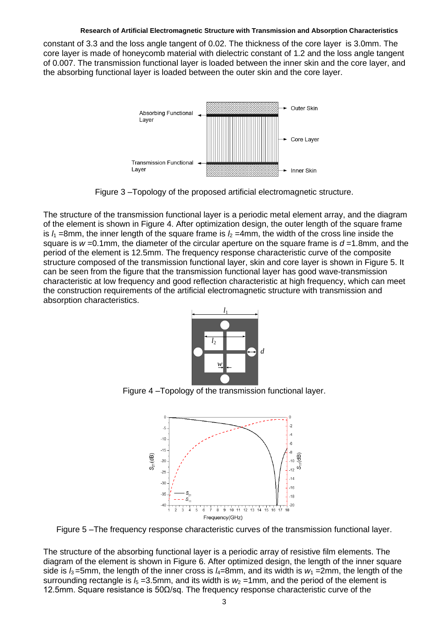constant of 3.3 and the loss angle tangent of 0.02. The thickness of the core layer is 3.0mm. The core layer is made of honeycomb material with dielectric constant of 1.2 and the loss angle tangent of 0.007. The transmission functional layer is loaded between the inner skin and the core layer, and the absorbing functional layer is loaded between the outer skin and the core layer.



Figure 3 –Topology of the proposed artificial electromagnetic structure.

The structure of the transmission functional layer is a periodic metal element array, and the diagram of the element is shown in Figure 4. After optimization design, the outer length of the square frame is  $l_1$  =8mm, the inner length of the square frame is  $l_2$  =4mm, the width of the cross line inside the square is  $w = 0.1$ mm, the diameter of the circular aperture on the square frame is  $d = 1.8$ mm, and the period of the element is 12.5mm. The frequency response characteristic curve of the composite structure composed of the transmission functional layer, skin and core layer is shown in Figure 5. It can be seen from the figure that the transmission functional layer has good wave-transmission characteristic at low frequency and good reflection characteristic at high frequency, which can meet the construction requirements of the artificial electromagnetic structure with transmission and absorption characteristics.



Figure 4 –Topology of the transmission functional layer.



Figure 5 –The frequency response characteristic curves of the transmission functional layer.

The structure of the absorbing functional layer is a periodic array of resistive film elements. The diagram of the element is shown in Figure 6. After optimized design, the length of the inner square side is  $l_3$  =5mm, the length of the inner cross is  $l_4$ =8mm, and its width is  $w_1$  =2mm, the length of the surrounding rectangle is  $I_5 = 3.5$ mm, and its width is  $W_2 = 1$ mm, and the period of the element is 12.5mm. Square resistance is 50 $Ω$ /sq. The frequency response characteristic curve of the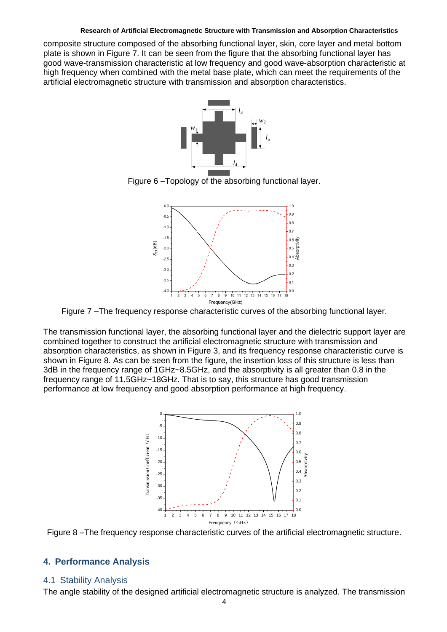composite structure composed of the absorbing functional layer, skin, core layer and metal bottom plate is shown in Figure 7. It can be seen from the figure that the absorbing functional layer has good wave-transmission characteristic at low frequency and good wave-absorption characteristic at high frequency when combined with the metal base plate, which can meet the requirements of the artificial electromagnetic structure with transmission and absorption characteristics.



Figure 6 –Topology of the absorbing functional layer.



Figure 7 –The frequency response characteristic curves of the absorbing functional layer.

The transmission functional layer, the absorbing functional layer and the dielectric support layer are combined together to construct the artificial electromagnetic structure with transmission and absorption characteristics, as shown in Figure 3, and its frequency response characteristic curve is shown in Figure 8. As can be seen from the figure, the insertion loss of this structure is less than 3dB in the frequency range of 1GHz~8.5GHz, and the absorptivity is all greater than 0.8 in the frequency range of 11.5GHz~18GHz. That is to say, this structure has good transmission performance at low frequency and good absorption performance at high frequency.



Figure 8 –The frequency response characteristic curves of the artificial electromagnetic structure.

## **4. Performance Analysis**

### 4.1 Stability Analysis

The angle stability of the designed artificial electromagnetic structure is analyzed. The transmission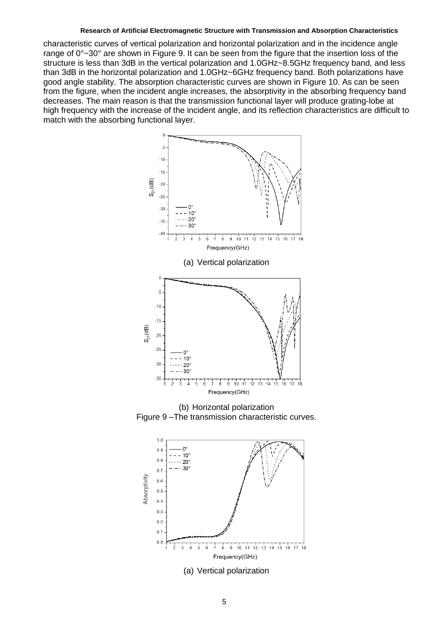characteristic curves of vertical polarization and horizontal polarization and in the incidence angle range of 0°~30° are shown in Figure 9. It can be seen from the figure that the insertion loss of the structure is less than 3dB in the vertical polarization and 1.0GHz~8.5GHz frequency band, and less than 3dB in the horizontal polarization and 1.0GHz~6GHz frequency band. Both polarizations have good angle stability. The absorption characteristic curves are shown in Figure 10. As can be seen from the figure, when the incident angle increases, the absorptivity in the absorbing frequency band decreases. The main reason is that the transmission functional layer will produce grating-lobe at high frequency with the increase of the incident angle, and its reflection characteristics are difficult to match with the absorbing functional layer.



(b) Horizontal polarization Figure 9 –The transmission characteristic curves.

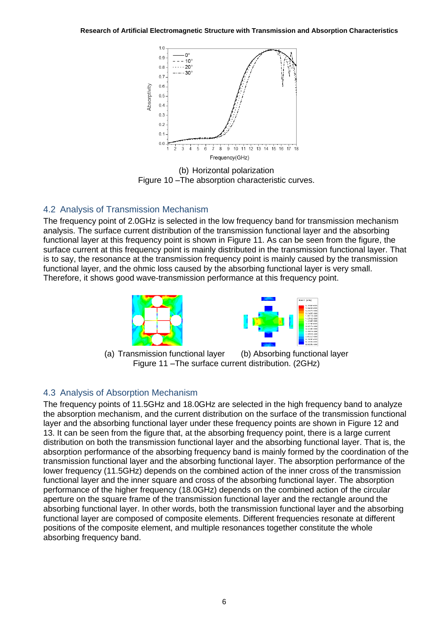

(b) Horizontal polarization Figure 10 –The absorption characteristic curves.

# 4.2 Analysis of Transmission Mechanism

The frequency point of 2.0GHz is selected in the low frequency band for transmission mechanism analysis. The surface current distribution of the transmission functional layer and the absorbing functional layer at this frequency point is shown in Figure 11. As can be seen from the figure, the surface current at this frequency point is mainly distributed in the transmission functional layer. That is to say, the resonance at the transmission frequency point is mainly caused by the transmission functional layer, and the ohmic loss caused by the absorbing functional layer is very small. Therefore, it shows good wave-transmission performance at this frequency point.





(a) Transmission functional layer (b) Absorbing functional layer Figure 11 –The surface current distribution. (2GHz)

# 4.3 Analysis of Absorption Mechanism

The frequency points of 11.5GHz and 18.0GHz are selected in the high frequency band to analyze the absorption mechanism, and the current distribution on the surface of the transmission functional layer and the absorbing functional layer under these frequency points are shown in Figure 12 and 13. It can be seen from the figure that, at the absorbing frequency point, there is a large current distribution on both the transmission functional layer and the absorbing functional layer. That is, the absorption performance of the absorbing frequency band is mainly formed by the coordination of the transmission functional layer and the absorbing functional layer. The absorption performance of the lower frequency (11.5GHz) depends on the combined action of the inner cross of the transmission functional layer and the inner square and cross of the absorbing functional layer. The absorption performance of the higher frequency (18.0GHz) depends on the combined action of the circular aperture on the square frame of the transmission functional layer and the rectangle around the absorbing functional layer. In other words, both the transmission functional layer and the absorbing functional layer are composed of composite elements. Different frequencies resonate at different positions of the composite element, and multiple resonances together constitute the whole absorbing frequency band.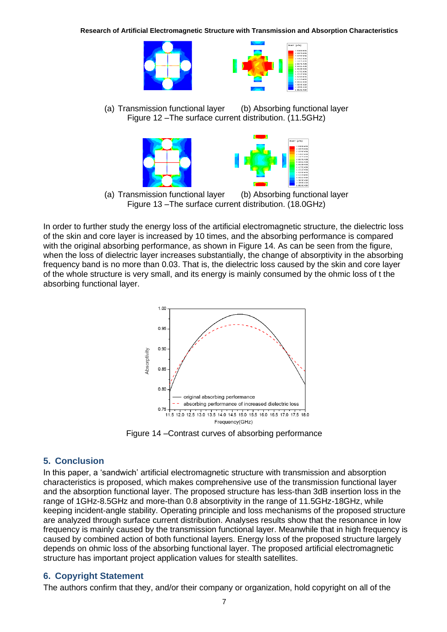

(a) Transmission functional layer (b) Absorbing functional layer Figure 12 –The surface current distribution. (11.5GHz)



(a) Transmission functional layer (b) Absorbing functional layer Figure 13 –The surface current distribution. (18.0GHz)

In order to further study the energy loss of the artificial electromagnetic structure, the dielectric loss of the skin and core layer is increased by 10 times, and the absorbing performance is compared with the original absorbing performance, as shown in Figure 14. As can be seen from the figure, when the loss of dielectric layer increases substantially, the change of absorptivity in the absorbing frequency band is no more than 0.03. That is, the dielectric loss caused by the skin and core layer of the whole structure is very small, and its energy is mainly consumed by the ohmic loss of t the absorbing functional layer.



Figure 14 –Contrast curves of absorbing performance

# **5. Conclusion**

In this paper, a 'sandwich' artificial electromagnetic structure with transmission and absorption characteristics is proposed, which makes comprehensive use of the transmission functional layer and the absorption functional layer. The proposed structure has less-than 3dB insertion loss in the range of 1GHz-8.5GHz and more-than 0.8 absorptivity in the range of 11.5GHz-18GHz, while keeping incident-angle stability. Operating principle and loss mechanisms of the proposed structure are analyzed through surface current distribution. Analyses results show that the resonance in low frequency is mainly caused by the transmission functional layer. Meanwhile that in high frequency is caused by combined action of both functional layers. Energy loss of the proposed structure largely depends on ohmic loss of the absorbing functional layer. The proposed artificial electromagnetic structure has important project application values for stealth satellites.

# **6. Copyright Statement**

The authors confirm that they, and/or their company or organization, hold copyright on all of the